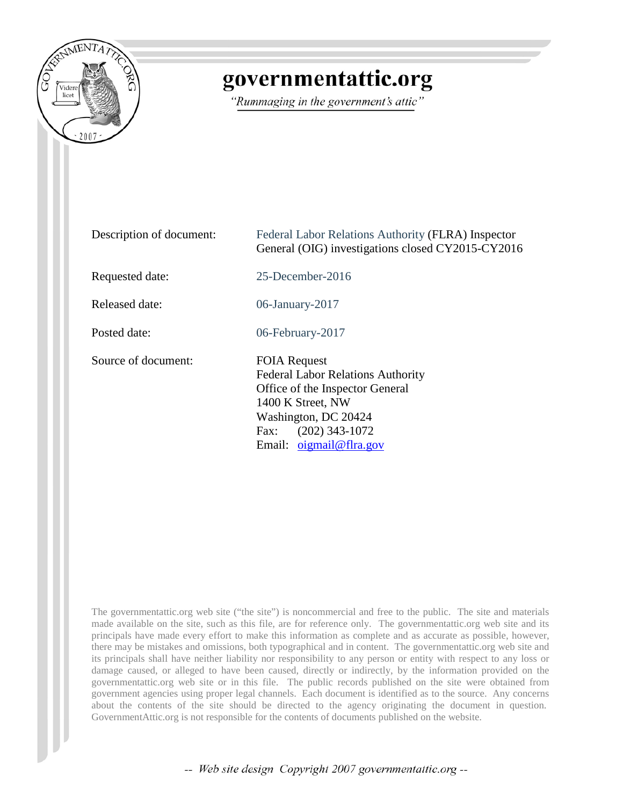

## governmentattic.org

"Rummaging in the government's attic"

| Description of document: | Federal Labor Relations Authority (FLRA) Inspector<br>General (OIG) investigations closed CY2015-CY2016                                                                                                |  |  |
|--------------------------|--------------------------------------------------------------------------------------------------------------------------------------------------------------------------------------------------------|--|--|
| Requested date:          | $25$ -December-2016                                                                                                                                                                                    |  |  |
| Released date:           | 06-January-2017                                                                                                                                                                                        |  |  |
| Posted date:             | 06-February-2017                                                                                                                                                                                       |  |  |
| Source of document:      | <b>FOIA Request</b><br><b>Federal Labor Relations Authority</b><br>Office of the Inspector General<br>1400 K Street, NW<br>Washington, DC 20424<br>$(202)$ 343-1072<br>Fax:<br>Email: $oigma@flra.gov$ |  |  |

The governmentattic.org web site ("the site") is noncommercial and free to the public. The site and materials made available on the site, such as this file, are for reference only. The governmentattic.org web site and its principals have made every effort to make this information as complete and as accurate as possible, however, there may be mistakes and omissions, both typographical and in content. The governmentattic.org web site and its principals shall have neither liability nor responsibility to any person or entity with respect to any loss or damage caused, or alleged to have been caused, directly or indirectly, by the information provided on the governmentattic.org web site or in this file. The public records published on the site were obtained from government agencies using proper legal channels. Each document is identified as to the source. Any concerns about the contents of the site should be directed to the agency originating the document in question. GovernmentAttic.org is not responsible for the contents of documents published on the website.

-- Web site design Copyright 2007 governmentattic.org --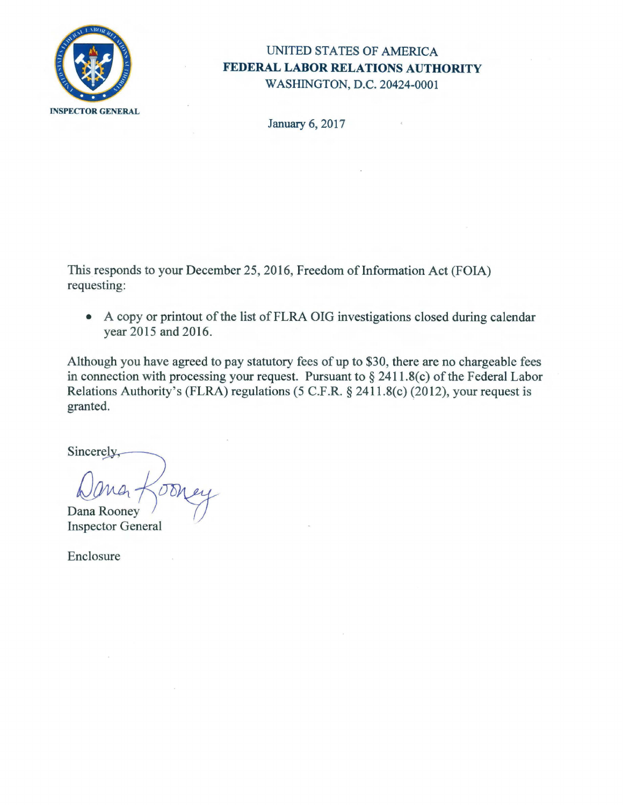

## UNITED STATES OF AMERICA **FEDERAL LABOR RELATIONS AUTHORITY**  WASHINGTON, D.C. 20424-0001

January 6, 2017

This responds to your December 25, 2016, Freedom of Information Act (FOIA) requesting:

• A copy or printout of the list of FLRA OIG investigations closed during calendar year 2015 and 2016.

Although you have agreed to pay statutory fees of up to \$30, there are no chargeable fees in connection with processing your request. Pursuant to  $\S 2411.8(c)$  of the Federal Labor Relations Authority's (FLRA) regulations (5 C.F.R. § 241 l.8(c) (2012), your request is granted.

Sincerely,

Dana Rooney

**Inspector General** 

Enclosure